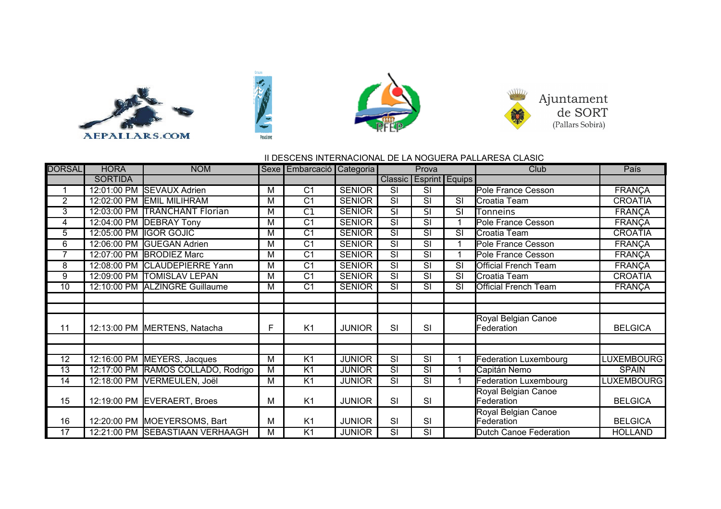







## II DESCENS INTERNACIONAL DE LA NOGUERA PALLARESA CLASIC

| <b>DORSAL</b>        | <b>HORA</b>    | <b>NOM</b>                      |                | Sexe   Embarcació   Categoria |               |                                   | Prova                    |                        | Club                         | País              |
|----------------------|----------------|---------------------------------|----------------|-------------------------------|---------------|-----------------------------------|--------------------------|------------------------|------------------------------|-------------------|
|                      | <b>SORTIDA</b> |                                 |                |                               |               | <b>Classic</b>                    |                          | <b>Esprint Equips</b>  |                              |                   |
| $\blacktriangleleft$ | 12:01:00 PM    | <b>SEVAUX Adrien</b>            | M              | $\overline{C1}$               | <b>SENIOR</b> | $\overline{\text{SI}}$            | $\overline{\text{SI}}$   |                        | Pole France Cesson           | <b>FRANÇA</b>     |
| $\overline{2}$       | 12:02:00 PM    | <b>EMIL MILIHRAM</b>            | M              | C <sub>1</sub>                | <b>SENIOR</b> | SI                                | SI                       | SI                     | Croatia Team                 | <b>CROATIA</b>    |
| 3                    | 12:03:00 PM    | <b>TRANCHANT Florian</b>        | М              | $\overline{C1}$               | <b>SENIOR</b> | $\overline{\text{SI}}$            | $\overline{\text{SI}}$   | <b>SI</b>              | <b>Tonneins</b>              | <b>FRANÇA</b>     |
| 4                    | 12:04:00 PM    | <b>DEBRAY Tony</b>              | M              | C <sub>1</sub>                | <b>SENIOR</b> | SI                                | SI                       |                        | Pole France Cesson           | <b>FRANÇA</b>     |
| 5                    | 12:05:00 PM    | <b>IGOR GOJIC</b>               | M              | $\overline{C1}$               | <b>SENIOR</b> | $\overline{\text{SI}}$            | $\overline{\text{SI}}$   | $\overline{\text{SI}}$ | Croatia Team                 | <b>CROATIA</b>    |
| 6                    | 12:06:00 PM    | <b>GUEGAN Adrien</b>            | M              | C <sub>1</sub>                | <b>SENIOR</b> | $\overline{\text{SI}}$            | $\overline{\text{SI}}$   |                        | Pole France Cesson           | <b>FRANÇA</b>     |
| 7                    |                | 12:07:00 PM BRODIEZ Marc        | M              | $\overline{C1}$               | <b>SENIOR</b> | $\overline{\text{SI}}$            | $\overline{\mathsf{SI}}$ |                        | Pole France Cesson           | <b>FRANÇA</b>     |
| $\overline{8}$       | 12:08:00 PM    | <b>CLAUDEPIERRE Yann</b>        | M              | $\overline{C1}$               | <b>SENIOR</b> | $\overline{\overline{\text{SI}}}$ | $\overline{\mathsf{SI}}$ | $\overline{\text{SI}}$ | <b>Official French Team</b>  | <b>FRANÇA</b>     |
| 9                    |                | 12:09:00 PM TOMISLAV LEPAN      | M              | $\overline{C1}$               | <b>SENIOR</b> | SI                                | SI                       | SI                     | Croatia Team                 | <b>CROATIA</b>    |
| $\overline{10}$      |                | 12:10:00 PM ALZINGRE Guillaume  | M              | $\overline{C1}$               | <b>SENIOR</b> | $\overline{\text{SI}}$            | $\overline{\mathsf{SI}}$ | $\overline{\text{SI}}$ | <b>Official French Team</b>  | <b>FRANÇA</b>     |
|                      |                |                                 |                |                               |               |                                   |                          |                        |                              |                   |
|                      |                |                                 |                |                               |               |                                   |                          |                        |                              |                   |
|                      |                |                                 |                |                               |               |                                   |                          |                        | Royal Belgian Canoe          |                   |
| 11                   | 12:13:00 PM    | MERTENS, Natacha                | F              | K <sub>1</sub>                | <b>JUNIOR</b> | SI                                | SI                       |                        | Federation                   | <b>BELGICA</b>    |
|                      |                |                                 |                |                               |               |                                   |                          |                        |                              |                   |
| 12                   | 12:16:00 PM    | MEYERS, Jacques                 | M              | K <sub>1</sub>                | <b>JUNIOR</b> | SI                                | SI                       |                        | <b>Federation Luxembourg</b> | LUXEMBOURG        |
| 13                   | 12:17:00 PM    | RAMOS COLLADO, Rodrigo          | M              | $\overline{K1}$               | <b>JUNIOR</b> | $\overline{\text{SI}}$            | $\overline{\text{SI}}$   |                        | Capitán Nemo                 | <b>SPAIN</b>      |
| 14                   | 12:18:00 PM    | VERMEULEN, Joël                 | $\overline{M}$ | K1                            | <b>JUNIOR</b> | $\overline{\mathsf{SI}}$          | $\overline{\mathsf{SI}}$ |                        | <b>Federation Luxembourg</b> | <b>LUXEMBOURG</b> |
|                      |                |                                 |                |                               |               |                                   |                          |                        | Royal Belgian Canoe          |                   |
| 15                   |                | 12:19:00 PM EVERAERT, Broes     | M              | K <sub>1</sub>                | <b>JUNIOR</b> | SI                                | SI                       |                        | Federation                   | <b>BELGICA</b>    |
|                      |                |                                 |                |                               |               |                                   |                          |                        | Royal Belgian Canoe          |                   |
| 16                   |                | 12:20:00 PM MOEYERSOMS, Bart    | M              | K <sub>1</sub>                | <b>JUNIOR</b> | SI                                | SI                       |                        | Federation                   | <b>BELGICA</b>    |
| 17                   |                | 12:21:00 PM SEBASTIAAN VERHAAGH | M              | K <sub>1</sub>                | <b>JUNIOR</b> | $\overline{\text{SI}}$            | $\overline{\text{SI}}$   |                        | Dutch Canoe Federation       | <b>HOLLAND</b>    |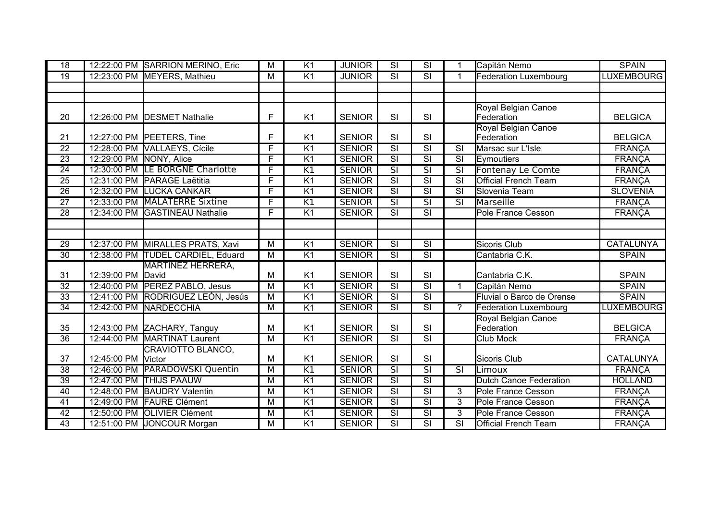| 18              |                         | 12:22:00 PM SARRION MERINO, Eric  | $\overline{M}$          | K <sub>1</sub>  | <b>JUNIOR</b> | $\overline{\mathsf{SI}}$ | $\overline{\text{SI}}$            |                          | Capitán Nemo                  | <b>SPAIN</b>      |
|-----------------|-------------------------|-----------------------------------|-------------------------|-----------------|---------------|--------------------------|-----------------------------------|--------------------------|-------------------------------|-------------------|
| $\overline{19}$ |                         | 12:23:00 PM MEYERS, Mathieu       | $\overline{M}$          | $\overline{K1}$ | <b>JUNIOR</b> | $\overline{\mathsf{SI}}$ | $\overline{\overline{\text{SI}}}$ | 1                        | <b>Federation Luxembourg</b>  | <b>LUXEMBOURG</b> |
|                 |                         |                                   |                         |                 |               |                          |                                   |                          |                               |                   |
|                 |                         |                                   |                         |                 |               |                          |                                   |                          |                               |                   |
|                 |                         |                                   |                         |                 |               |                          |                                   |                          | Royal Belgian Canoe           |                   |
| 20              |                         | 12:26:00 PM DESMET Nathalie       | F                       | K <sub>1</sub>  | <b>SENIOR</b> | SI                       | SI                                |                          | Federation                    | <b>BELGICA</b>    |
|                 |                         |                                   |                         |                 |               |                          |                                   |                          | Royal Belgian Canoe           |                   |
| 21              |                         | 12:27:00 PM PEETERS, Tine         | F                       | K <sub>1</sub>  | <b>SENIOR</b> | SI                       | SI                                |                          | Federation                    | <b>BELGICA</b>    |
| $\overline{22}$ |                         | 12:28:00 PM VALLAEYS, Cícile      | F                       | K1              | <b>SENIOR</b> | $\overline{\text{SI}}$   | $\overline{\text{SI}}$            | $\overline{\text{SI}}$   | Marsac sur L'Isle             | <b>FRANÇA</b>     |
| $\overline{23}$ | 12:29:00 PM NONY, Alice |                                   | F                       | K <sub>1</sub>  | <b>SENIOR</b> | $\overline{\text{SI}}$   | $\overline{\text{SI}}$            | $\overline{\text{SI}}$   | Eymoutiers                    | <b>FRANÇA</b>     |
| $\overline{24}$ |                         | 12:30:00 PM LE BORGNE Charlotte   | $\overline{\mathsf{F}}$ | K1              | <b>SENIOR</b> | $\overline{\mathsf{SI}}$ | $\overline{\mathsf{SI}}$          |                          | Fontenay Le Comte             | <b>FRANCA</b>     |
| $\overline{25}$ |                         | 12:31:00 PM PARAGE Laëtitia       | F                       | K <sub>1</sub>  | <b>SENIOR</b> | $\overline{\mathsf{SI}}$ | $\overline{\mathsf{SI}}$          | $\overline{\mathsf{SI}}$ | <b>Official French Team</b>   | <b>FRANÇA</b>     |
| $\overline{26}$ |                         | 12:32:00 PM LUCKA CANKAR          | F                       | K1              | <b>SENIOR</b> | $\overline{\mathsf{SI}}$ | $\overline{\overline{\text{SI}}}$ | $\overline{\mathsf{SI}}$ | Slovenia Team                 | <b>SLOVENIA</b>   |
| $\overline{27}$ |                         | 12:33:00 PM MALATERRE Sixtine     | F                       | K1              | <b>SENIOR</b> |                          | $\overline{\mathsf{SI}}$          | $\overline{\text{SI}}$   | Marseille                     | <b>FRANÇA</b>     |
| $\overline{28}$ |                         | 12:34:00 PM GASTINEAU Nathalie    | $\overline{\mathsf{F}}$ | $\overline{K1}$ | <b>SENIOR</b> | $\overline{\mathsf{SI}}$ | $\overline{\text{SI}}$            |                          | <b>Pole France Cesson</b>     | <b>FRANÇA</b>     |
|                 |                         |                                   |                         |                 |               |                          |                                   |                          |                               |                   |
|                 |                         |                                   |                         |                 |               |                          |                                   |                          |                               |                   |
| 29              |                         | 12:37:00 PM MIRALLES PRATS, Xavi  | M                       | K <sub>1</sub>  | <b>SENIOR</b> | $\overline{\text{SI}}$   | $\overline{\text{SI}}$            |                          | <b>Sicoris Club</b>           | <b>CATALUNYA</b>  |
| 30              |                         | 12:38:00 PM TUDEL CARDIEL, Eduard | $\overline{M}$          | K <sub>1</sub>  | <b>SENIOR</b> | $\overline{\text{SI}}$   | $\overline{\mathsf{SI}}$          |                          | Cantabria C.K.                | <b>SPAIN</b>      |
|                 |                         | <b>MARTINEZ HERRERA,</b>          |                         |                 |               |                          |                                   |                          |                               |                   |
| 31              | 12:39:00 PM             | David                             | M                       | K <sub>1</sub>  | <b>SENIOR</b> | SI                       | SI                                |                          | Cantabria C.K.                | <b>SPAIN</b>      |
| $\overline{32}$ |                         | 12:40:00 PM PEREZ PABLO, Jesus    | M                       | K1              | <b>SENIOR</b> | $\overline{\text{SI}}$   | $\overline{\text{SI}}$            | 1                        | Capitán Nemo                  | <b>SPAIN</b>      |
| $\overline{33}$ |                         | 12:41:00 PM RODRIGUEZ LEÓN, Jesús | $\overline{M}$          | $\overline{K1}$ | <b>SENIOR</b> | $\overline{\mathsf{SI}}$ | $\overline{\text{SI}}$            |                          | Fluvial o Barco de Orense     | <b>SPAIN</b>      |
| 34              | 12:42:00 PM             | <b>NARDECCHIA</b>                 | $\overline{M}$          | $\overline{K}$  | <b>SENIOR</b> | $\overline{\text{SI}}$   | $\overline{\text{SI}}$            | $\gamma$                 | Federation Luxembourg         | <b>LUXEMBOURG</b> |
|                 |                         |                                   |                         |                 |               |                          |                                   |                          | Royal Belgian Canoe           |                   |
| 35              |                         | 12:43:00 PM ZACHARY, Tanguy       | M                       | K <sub>1</sub>  | <b>SENIOR</b> | SI                       | SI                                |                          | Federation                    | <b>BELGICA</b>    |
| $\overline{36}$ |                         | 12:44:00 PM MARTINAT Laurent      | $\overline{M}$          | $\overline{K1}$ | <b>SENIOR</b> | $\overline{\text{SI}}$   | $\overline{\text{SI}}$            |                          | <b>Club Mock</b>              | <b>FRANÇA</b>     |
|                 |                         | CRAVIOTTO BLANCO,                 |                         |                 |               |                          |                                   |                          |                               |                   |
| 37              | 12:45:00 PM             | Victor                            | M                       | K <sub>1</sub>  | <b>SENIOR</b> | SI                       | SI                                |                          | Sicoris Club                  | <b>CATALUNYA</b>  |
| $\overline{38}$ |                         | 12:46:00 PM PARADOWSKI Quentin    | M                       | K1              | <b>SENIOR</b> | $\overline{\text{SI}}$   | $\overline{\mathsf{SI}}$          | $\overline{\mathsf{SI}}$ | Limoux                        | <b>FRANÇA</b>     |
| 39              |                         | 12:47:00 PM THIJS PAAUW           | M                       | $\overline{K1}$ | <b>SENIOR</b> | $\overline{\mathsf{SI}}$ | $\overline{\overline{\text{SI}}}$ |                          | <b>Dutch Canoe Federation</b> | <b>HOLLAND</b>    |
| 40              |                         | 12:48:00 PM BAUDRY Valentin       | M                       | $\overline{K}$  | <b>SENIOR</b> | $\overline{\mathsf{SI}}$ | $\overline{\text{SI}}$            | $\overline{3}$           | Pole France Cesson            | <b>FRANÇA</b>     |
| $\overline{41}$ |                         | 12:49:00 PM FAURE Clément         | $\overline{M}$          | $\overline{K1}$ | <b>SENIOR</b> | $\overline{\text{SI}}$   | $\overline{\text{SI}}$            | $\overline{3}$           | Pole France Cesson            | <b>FRANÇA</b>     |
| $\overline{42}$ |                         | 12:50:00 PM OLIVIER Clément       | M                       | $\overline{K}$  | <b>SENIOR</b> | $\overline{\text{SI}}$   | $\overline{\text{SI}}$            | 3                        | Pole France Cesson            | <b>FRANÇA</b>     |
| 43              |                         | 12:51:00 PM JONCOUR Morgan        | M                       | K1              | <b>SENIOR</b> | $\overline{\text{SI}}$   | $\overline{\text{SI}}$            | $\overline{\mathsf{SI}}$ | <b>Official French Team</b>   | <b>FRANÇA</b>     |